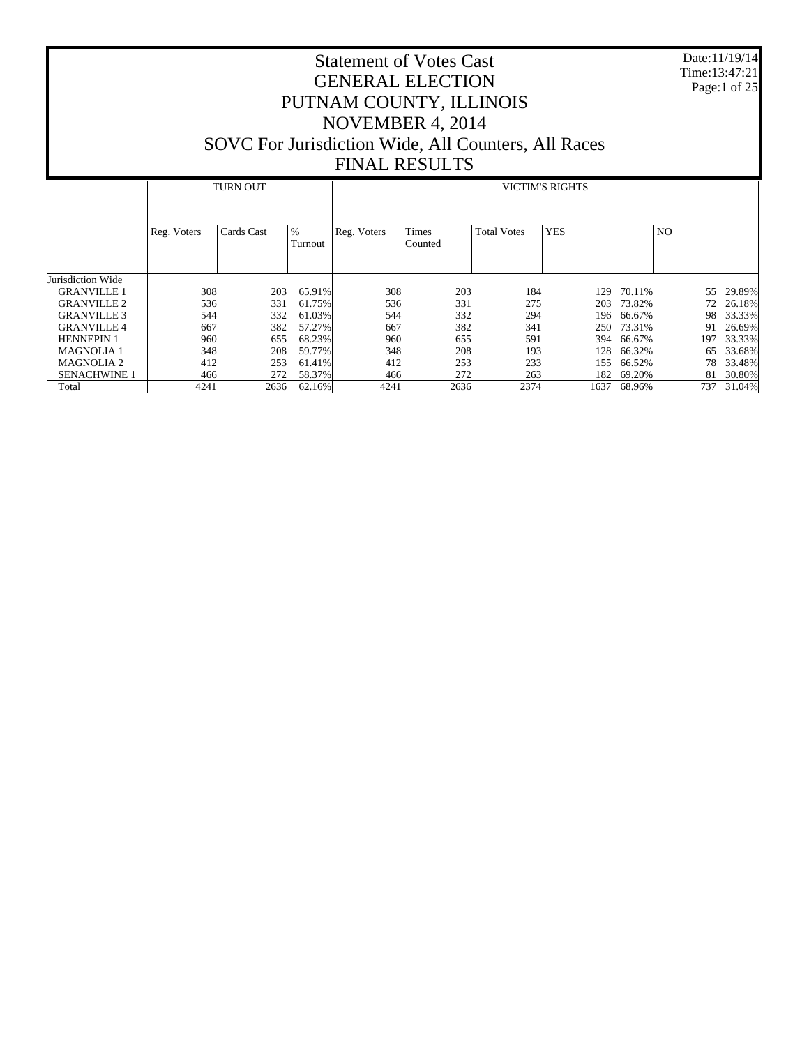Date:11/19/14 Time:13:47:21 Page:1 of 25

|                     |             | <b>TURN OUT</b> |              |             |                  |                    | <b>VICTIM'S RIGHTS</b> |                |     |        |
|---------------------|-------------|-----------------|--------------|-------------|------------------|--------------------|------------------------|----------------|-----|--------|
|                     | Reg. Voters | Cards Cast      | %<br>Turnout | Reg. Voters | Times<br>Counted | <b>Total Votes</b> | <b>YES</b>             | N <sub>O</sub> |     |        |
| Jurisdiction Wide   |             |                 |              |             |                  |                    |                        |                |     |        |
| <b>GRANVILLE 1</b>  | 308         | 203             | 65.91%       | 308         | 203              | 184                | 129                    | 70.11%         | 55  | 29.89% |
| <b>GRANVILLE 2</b>  | 536         | 331             | 61.75%       | 536         | 331              | 275                | 203                    | 73.82%         | 72  | 26.18% |
| <b>GRANVILLE 3</b>  | 544         | 332             | 61.03%       | 544         | 332              | 294                | 196                    | 66.67%         | 98  | 33.33% |
| <b>GRANVILLE 4</b>  | 667         | 382             | 57.27%       | 667         | 382              | 341                | 250                    | 73.31%         | 91  | 26.69% |
| <b>HENNEPIN 1</b>   | 960         | 655             | 68.23%       | 960         | 655              | 591                | 394                    | 66.67%         | 197 | 33.33% |
| <b>MAGNOLIA1</b>    | 348         | 208             | 59.77%       | 348         | 208              | 193                | 128                    | 66.32%         | 65  | 33.68% |
| <b>MAGNOLIA 2</b>   | 412         | 253             | 61.41%       | 412         | 253              | 233                | 155                    | 66.52%         | 78  | 33.48% |
| <b>SENACHWINE 1</b> | 466         | 272             | 58.37%       | 466         | 272              | 263                | 182                    | 69.20%         | 81  | 30.80% |
| Total               | 4241        | 2636            | 62.16%       | 4241        | 2636             | 2374               | 1637                   | 68.96%         | 737 | 31.04% |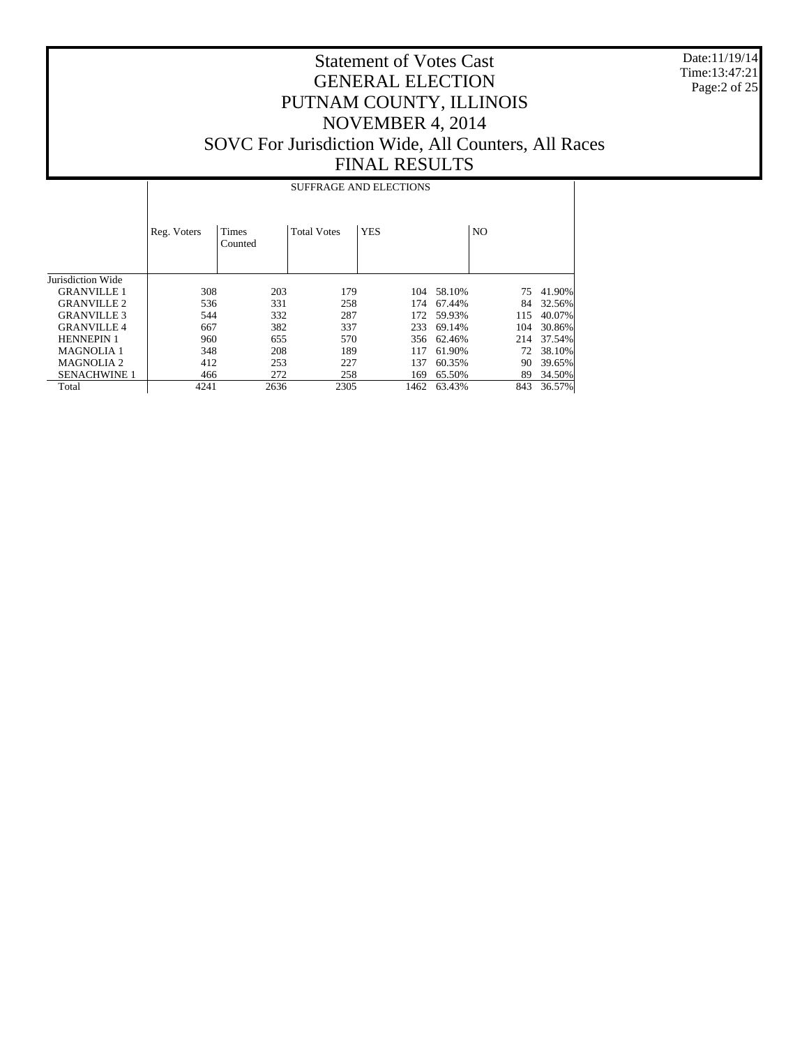Date:11/19/14 Time:13:47:21 Page:2 of 25

|                     |             | <b>SUFFRAGE AND ELECTIONS</b> |                    |            |        |                |        |  |  |  |  |  |
|---------------------|-------------|-------------------------------|--------------------|------------|--------|----------------|--------|--|--|--|--|--|
|                     | Reg. Voters | Times<br>Counted              | <b>Total Votes</b> | <b>YES</b> |        | N <sub>O</sub> |        |  |  |  |  |  |
| Jurisdiction Wide   |             |                               |                    |            |        |                |        |  |  |  |  |  |
| <b>GRANVILLE 1</b>  | 308         | 203                           | 179                | 104        | 58.10% | 75             | 41.90% |  |  |  |  |  |
| <b>GRANVILLE 2</b>  | 536         | 331                           | 258                | 174        | 67.44% | 84             | 32.56% |  |  |  |  |  |
| <b>GRANVILLE 3</b>  | 544         | 332                           | 287                | 172        | 59.93% | 115            | 40.07% |  |  |  |  |  |
| <b>GRANVILLE4</b>   | 667         | 382                           | 337                | 233        | 69.14% | 104            | 30.86% |  |  |  |  |  |
| <b>HENNEPIN 1</b>   | 960         | 655                           | 570                | 356        | 62.46% | 214            | 37.54% |  |  |  |  |  |
| <b>MAGNOLIA 1</b>   | 348         | 208                           | 189                | 117        | 61.90% | 72             | 38.10% |  |  |  |  |  |
| <b>MAGNOLIA 2</b>   | 412         | 253                           | 227                | 137        | 60.35% | 90             | 39.65% |  |  |  |  |  |
| <b>SENACHWINE 1</b> | 466         | 272                           | 258                | 169        | 65.50% | 89             | 34.50% |  |  |  |  |  |
| Total               | 4241        | 2636                          | 2305               | 1462       | 63.43% | 843            | 36.57% |  |  |  |  |  |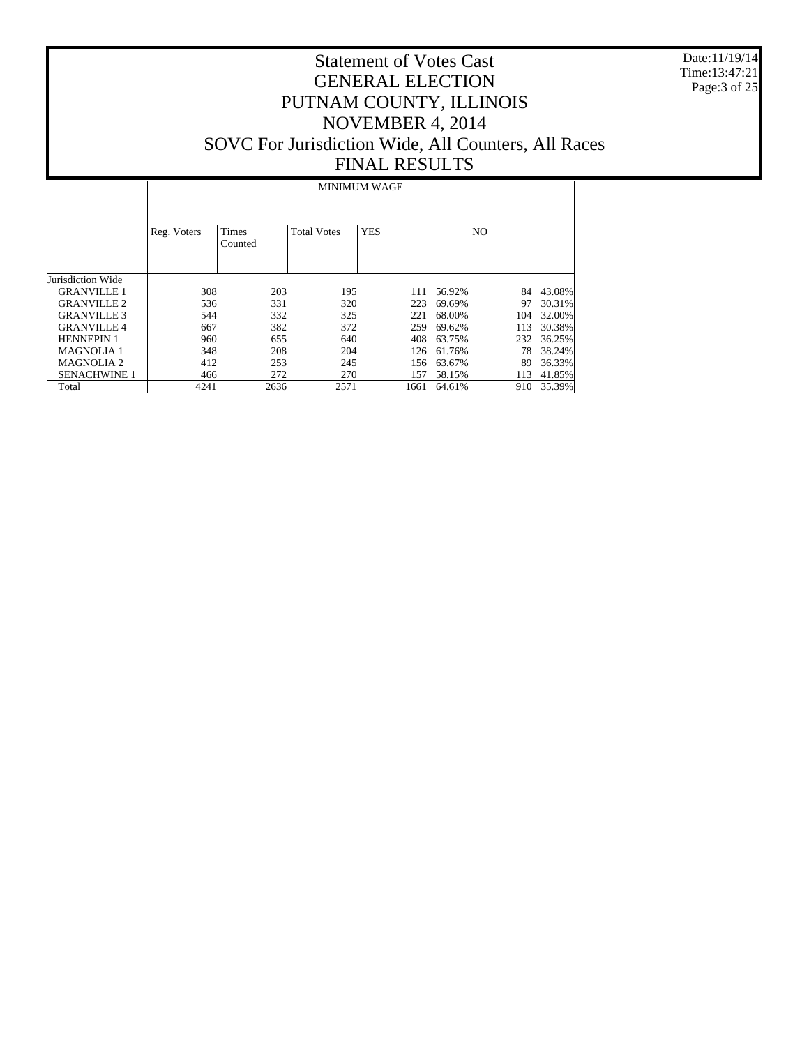Date:11/19/14 Time:13:47:21 Page:3 of 25

# Statement of Votes Cast GENERAL ELECTION PUTNAM COUNTY, ILLINOIS NOVEMBER 4, 2014 SOVC For Jurisdiction Wide, All Counters, All Races FINAL RESULTS

#### MINIMUM WAGE

|                     | Reg. Voters | Times<br>Counted | <b>Total Votes</b> | <b>YES</b> |        | N <sub>O</sub> |        |
|---------------------|-------------|------------------|--------------------|------------|--------|----------------|--------|
| Jurisdiction Wide   |             |                  |                    |            |        |                |        |
| <b>GRANVILLE 1</b>  | 308         | 203              | 195                | 111        | 56.92% | 84             | 43.08% |
| <b>GRANVILLE 2</b>  | 536         | 331              | 320                | 223        | 69.69% | 97             | 30.31% |
| <b>GRANVILLE 3</b>  | 544         | 332              | 325                | 221        | 68.00% | 104            | 32.00% |
| <b>GRANVILLE4</b>   | 667         | 382              | 372                | 259        | 69.62% | 113            | 30.38% |
| <b>HENNEPIN 1</b>   | 960         | 655              | 640                | 408        | 63.75% | 232            | 36.25% |
| <b>MAGNOLIA1</b>    | 348         | 208              | 204                | 126        | 61.76% | 78             | 38.24% |
| <b>MAGNOLIA 2</b>   | 412         | 253              | 245                | 156        | 63.67% | 89             | 36.33% |
| <b>SENACHWINE 1</b> | 466         | 272              | 270                | 157        | 58.15% | 113            | 41.85% |
| Total               | 4241        | 2636             | 2571               | 1661       | 64.61% | 910            | 35.39% |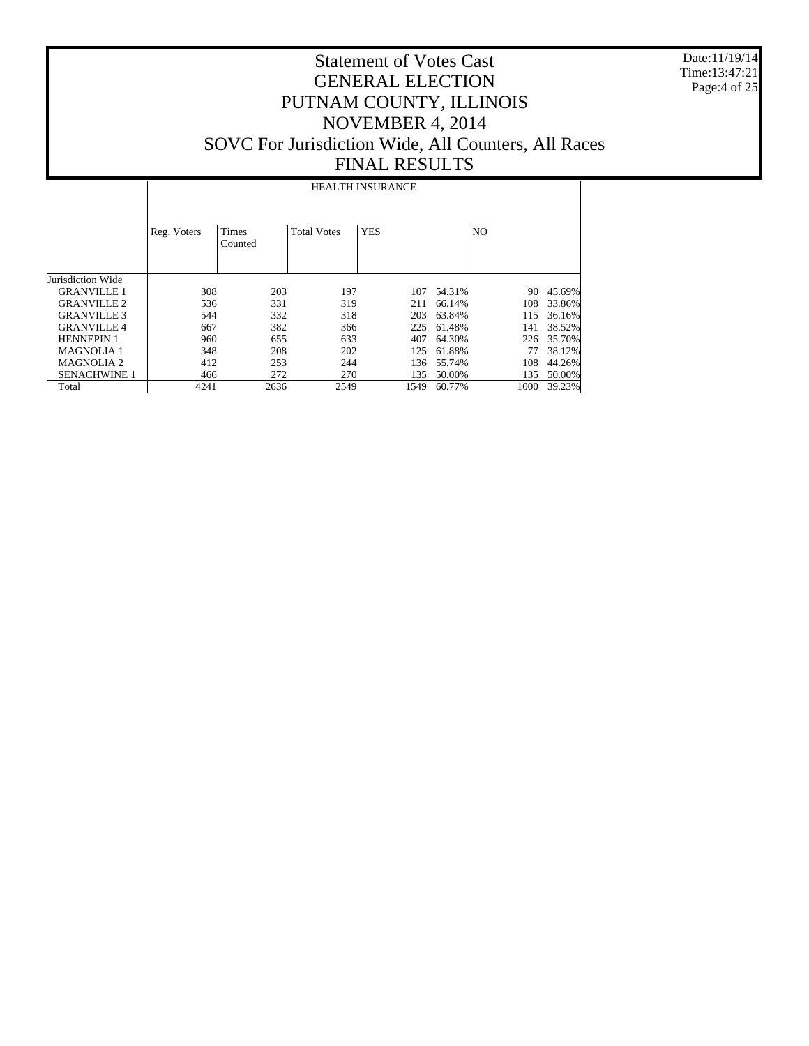Date:11/19/14 Time:13:47:21 Page:4 of 25

|                     |             |                  |                    | <b>HEALTH INSURANCE</b> |                |      |        |
|---------------------|-------------|------------------|--------------------|-------------------------|----------------|------|--------|
|                     | Reg. Voters | Times<br>Counted | <b>Total Votes</b> | <b>YES</b>              | N <sub>O</sub> |      |        |
| Jurisdiction Wide   |             |                  |                    |                         |                |      |        |
| <b>GRANVILLE 1</b>  | 308         | 203              | 197                | 107                     | 54.31%         | 90   | 45.69% |
| <b>GRANVILLE 2</b>  | 536         | 331              | 319                | 211                     | 66.14%         | 108  | 33.86% |
| <b>GRANVILLE 3</b>  | 544         | 332              | 318                | 203                     | 63.84%         | 115  | 36.16% |
| <b>GRANVILLE4</b>   | 667         | 382              | 366                | 225                     | 61.48%         | 141  | 38.52% |
| <b>HENNEPIN1</b>    | 960         | 655              | 633                | 407                     | 64.30%         | 226  | 35.70% |
| <b>MAGNOLIA1</b>    | 348         | 208              | 202                | 125                     | 61.88%         | 77   | 38.12% |
| <b>MAGNOLIA 2</b>   | 412         | 253              | 244                | 136                     | 55.74%         | 108  | 44.26% |
| <b>SENACHWINE 1</b> | 466         | 272              | 270                | 135                     | 50.00%         | 135  | 50.00% |
| Total               | 4241        | 2636             | 2549               | 1549                    | 60.77%         | 1000 | 39.23% |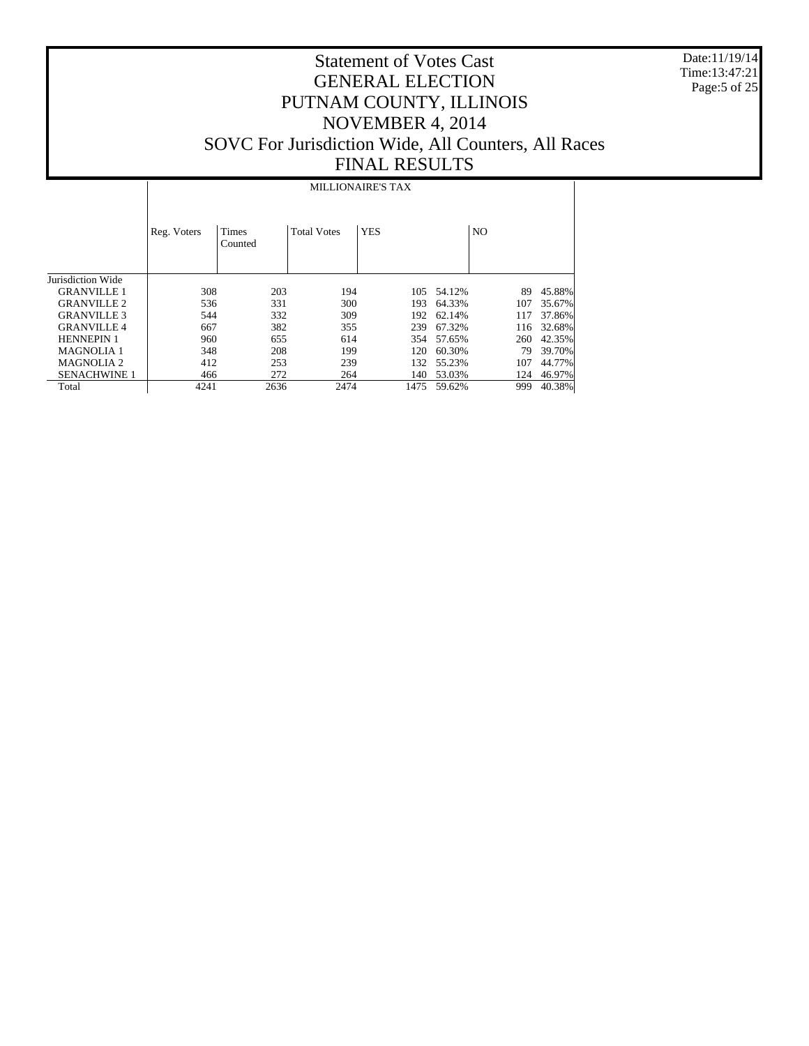Date:11/19/14 Time:13:47:21 Page:5 of 25

# Statement of Votes Cast GENERAL ELECTION PUTNAM COUNTY, ILLINOIS NOVEMBER 4, 2014 SOVC For Jurisdiction Wide, All Counters, All Races FINAL RESULTS

#### MILLIONAIRE'S TAX

|                     | Reg. Voters | <b>Times</b><br>Counted | <b>Total Votes</b> | <b>YES</b> | N <sub>O</sub> |     |        |
|---------------------|-------------|-------------------------|--------------------|------------|----------------|-----|--------|
| Jurisdiction Wide   |             |                         |                    |            |                |     |        |
| <b>GRANVILLE 1</b>  | 308         | 203                     | 194                | 105        | 54.12%         | 89  | 45.88% |
| <b>GRANVILLE 2</b>  | 536         | 331                     | 300                | 193        | 64.33%         | 107 | 35.67% |
| <b>GRANVILLE 3</b>  | 544         | 332                     | 309                | 192        | 62.14%         | 117 | 37.86% |
| <b>GRANVILLE4</b>   | 667         | 382                     | 355                | 239        | 67.32%         | 116 | 32.68% |
| <b>HENNEPIN 1</b>   | 960         | 655                     | 614                | 354        | 57.65%         | 260 | 42.35% |
| <b>MAGNOLIA 1</b>   | 348         | 208                     | 199                | 120        | 60.30%         | 79  | 39.70% |
| <b>MAGNOLIA 2</b>   | 412         | 253                     | 239                | 132        | 55.23%         | 107 | 44.77% |
| <b>SENACHWINE 1</b> | 466         | 272                     | 264                | 140        | 53.03%         | 124 | 46.97% |
| Total               | 4241        | 2636                    | 2474               | 1475       | 59.62%         | 999 | 40.38% |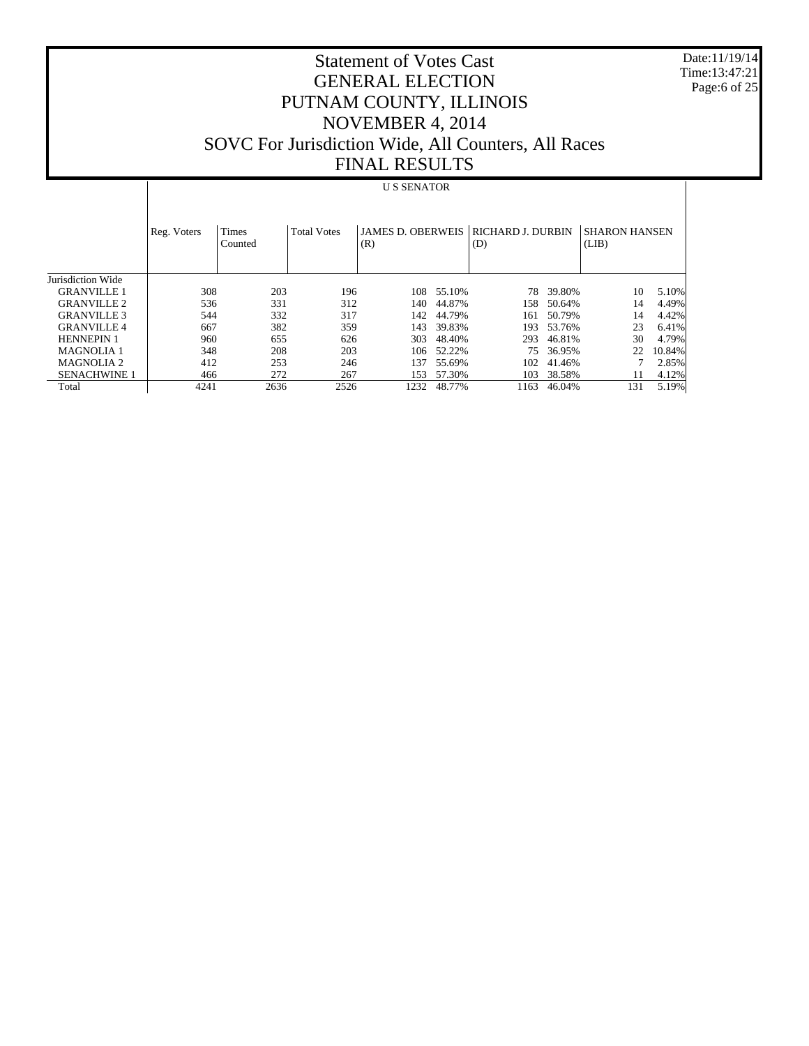Date:11/19/14 Time:13:47:21 Page:6 of 25

# Statement of Votes Cast GENERAL ELECTION PUTNAM COUNTY, ILLINOIS NOVEMBER 4, 2014 SOVC For Jurisdiction Wide, All Counters, All Races FINAL RESULTS

### U S SENATOR

|                     | Reg. Voters | Times<br>Counted | <b>Total Votes</b> | <b>JAMES D. OBERWEIS</b><br>(R) |        | <b>RICHARD J. DURBIN</b><br>(D) |        | <b>SHARON HANSEN</b><br>(LIB) |        |
|---------------------|-------------|------------------|--------------------|---------------------------------|--------|---------------------------------|--------|-------------------------------|--------|
| Jurisdiction Wide   |             |                  |                    |                                 |        |                                 |        |                               |        |
| <b>GRANVILLE 1</b>  | 308         | 203              | 196                | 108                             | 55.10% | 78                              | 39.80% | 10                            | 5.10%  |
| <b>GRANVILLE 2</b>  | 536         | 331              | 312                | 140                             | 44.87% | 158                             | 50.64% | 14                            | 4.49%  |
| <b>GRANVILLE 3</b>  | 544         | 332              | 317                | 142                             | 44.79% | 161                             | 50.79% | 14                            | 4.42%  |
| <b>GRANVILLE4</b>   | 667         | 382              | 359                | 143                             | 39.83% | 193                             | 53.76% | 23                            | 6.41%  |
| <b>HENNEPIN 1</b>   | 960         | 655              | 626                | 303                             | 48.40% | 293                             | 46.81% | 30                            | 4.79%  |
| <b>MAGNOLIA 1</b>   | 348         | 208              | 203                | 106                             | 52.22% | 75                              | 36.95% | 22                            | 10.84% |
| MAGNOLIA 2          | 412         | 253              | 246                | 137                             | 55.69% | 102                             | 41.46% |                               | 2.85%  |
| <b>SENACHWINE 1</b> | 466         | 272              | 267                | 153                             | 57.30% | 103                             | 38.58% |                               | 4.12%  |
| Total               | 4241        | 2636             | 2526               | 1232                            | 48.77% | 1163                            | 46.04% | 131                           | 5.19%  |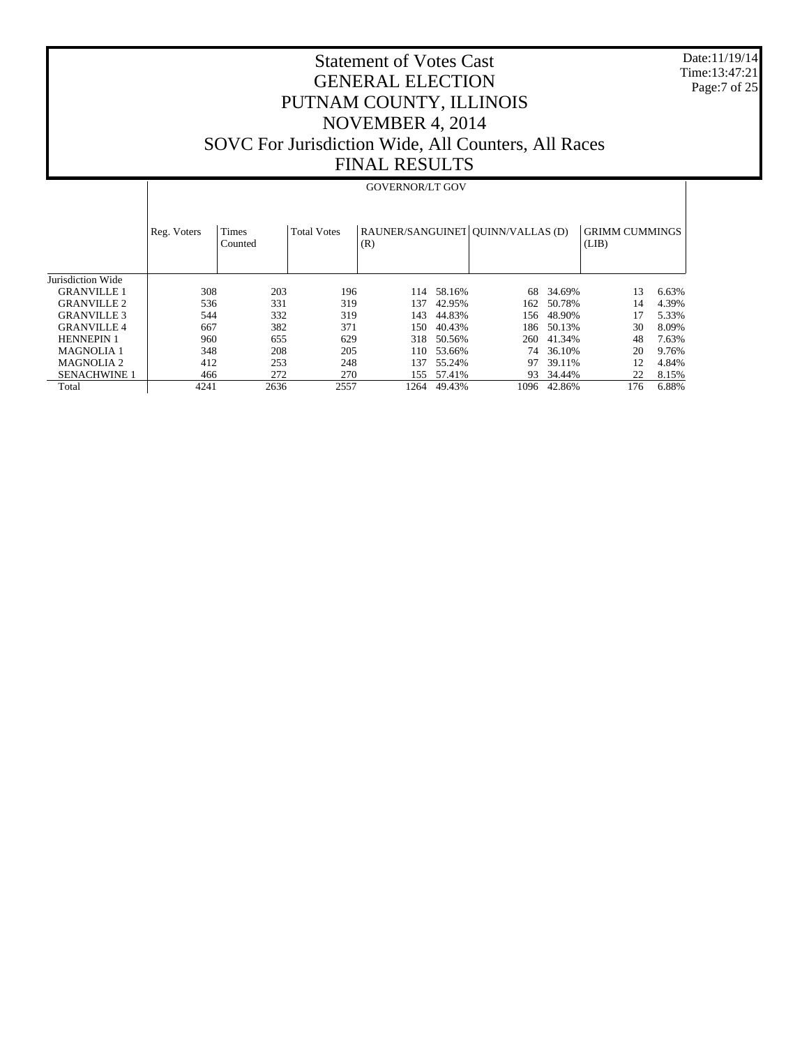Date:11/19/14 Time:13:47:21 Page:7 of 25

### Statement of Votes Cast GENERAL ELECTION PUTNAM COUNTY, ILLINOIS NOVEMBER 4, 2014 SOVC For Jurisdiction Wide, All Counters, All Races FINAL RESULTS

#### Jurisdiction Wide GRANVILLE 1 GRANVILLE 2 GRANVILLE 3 GRANVILLE 4 HENNEPIN 1 MAGNOLIA 1 MAGNOLIA 2 SENACHWINE 1 Total Reg. Voters | Times Counted Total Votes | RAUNER/SANGUINET | QUINN/VALLAS (D) (R) GRIMM CUMMINGS (LIB) GOVERNOR/LT GOV 308 203 196 114 58.16% 68 34.69% 13 6.63% 536 331 319 137 42.95% 162 50.78% 14 4.39% 544 332 319 143 44.83% 156 48.90% 17 5.33% 067 382 371 150 40.43% 186 50.13% 30 8.09%<br>960 655 629 318 50.56% 260 41.34% 48 7.63% 055 629 318 50.56% 260 41.34% 48 208 205 110 53.66% 74 36.10% 348 208 205 110 53.66% 74 36.10% 20 9.76% 212 253 248 137 25.24% 97 39.11% 12 4.84% 272 270 155 27.41% 93 34.44% 22 8.15% 466 272 270 155 57.41% 93 34.44% 22 8.15% 1096 42.86%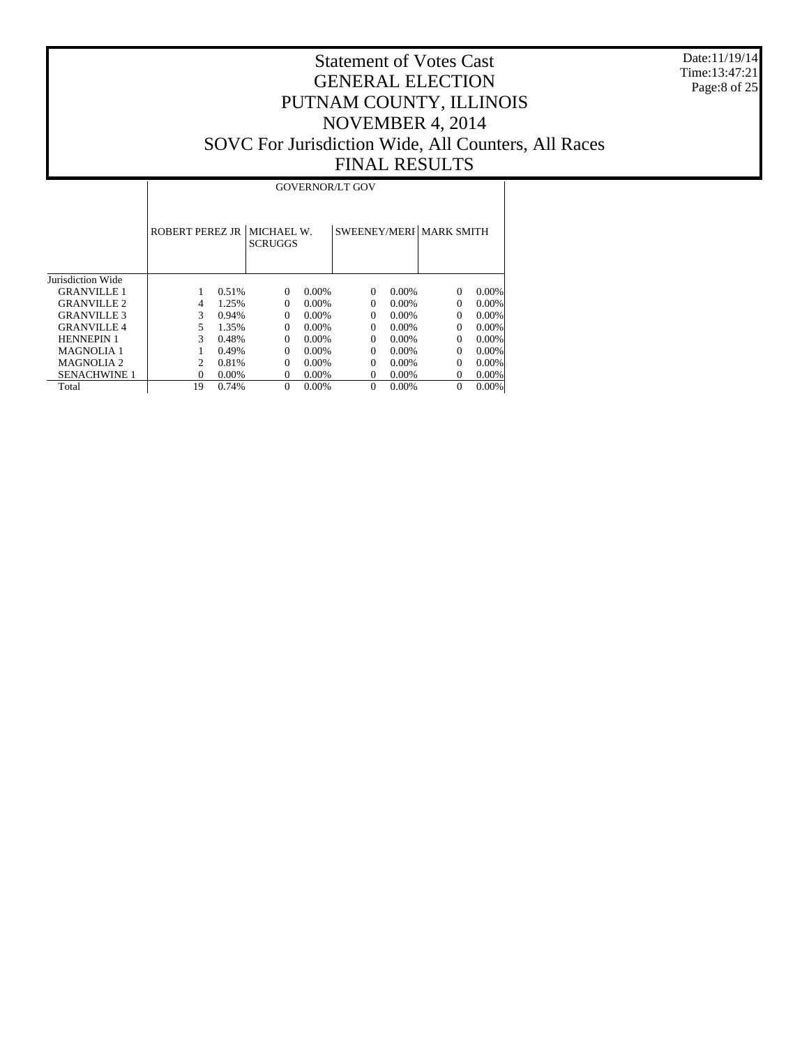Date:11/19/14 Time:13:47:21 Page:8 of 25

|                     |                        | <b>GOVERNOR/LT GOV</b> |                              |          |                         |          |  |                   |  |  |  |
|---------------------|------------------------|------------------------|------------------------------|----------|-------------------------|----------|--|-------------------|--|--|--|
|                     | <b>ROBERT PEREZ JR</b> |                        | MICHAEL W.<br><b>SCRUGGS</b> |          | SWEENEY/MERI MARK SMITH |          |  |                   |  |  |  |
| Jurisdiction Wide   |                        |                        |                              |          |                         |          |  |                   |  |  |  |
| <b>GRANVILLE 1</b>  |                        | 0.51%                  | $\Omega$                     | $0.00\%$ | $\Omega$                | 0.00%    |  | 0.00%<br>$\Omega$ |  |  |  |
| <b>GRANVILLE 2</b>  | 4                      | 1.25%                  | $\Omega$                     | $0.00\%$ | $\Omega$                | $0.00\%$ |  | 0.00%<br>$\Omega$ |  |  |  |
| <b>GRANVILLE 3</b>  | 3                      | 0.94%                  | $\Omega$                     | $0.00\%$ | $\Omega$                | $0.00\%$ |  | 0.00%<br>$\Omega$ |  |  |  |
| <b>GRANVILLE4</b>   | 5                      | 1.35%                  | $\Omega$                     | $0.00\%$ | $\Omega$                | $0.00\%$ |  | 0.00%<br>$\Omega$ |  |  |  |
| <b>HENNEPIN 1</b>   | 3                      | 0.48%                  | $\Omega$                     | $0.00\%$ | $\Omega$                | $0.00\%$ |  | 0.00%<br>$\Omega$ |  |  |  |
| <b>MAGNOLIA 1</b>   |                        | 0.49%                  | 0                            | $0.00\%$ | $\Omega$                | $0.00\%$ |  | 0.00%<br>$\Omega$ |  |  |  |
| <b>MAGNOLIA 2</b>   | 2                      | 0.81%                  | $\Omega$                     | $0.00\%$ | 0                       | $0.00\%$ |  | 0.00%<br>$\Omega$ |  |  |  |
| <b>SENACHWINE 1</b> | $\Omega$               | $0.00\%$               | $\Omega$                     | $0.00\%$ | $\Omega$                | 0.00%    |  | 0.00%<br>$\Omega$ |  |  |  |
| Total               | 19                     | 0.74%                  | $\Omega$                     | $0.00\%$ | 0                       | 0.00%    |  | 0.00%<br>0        |  |  |  |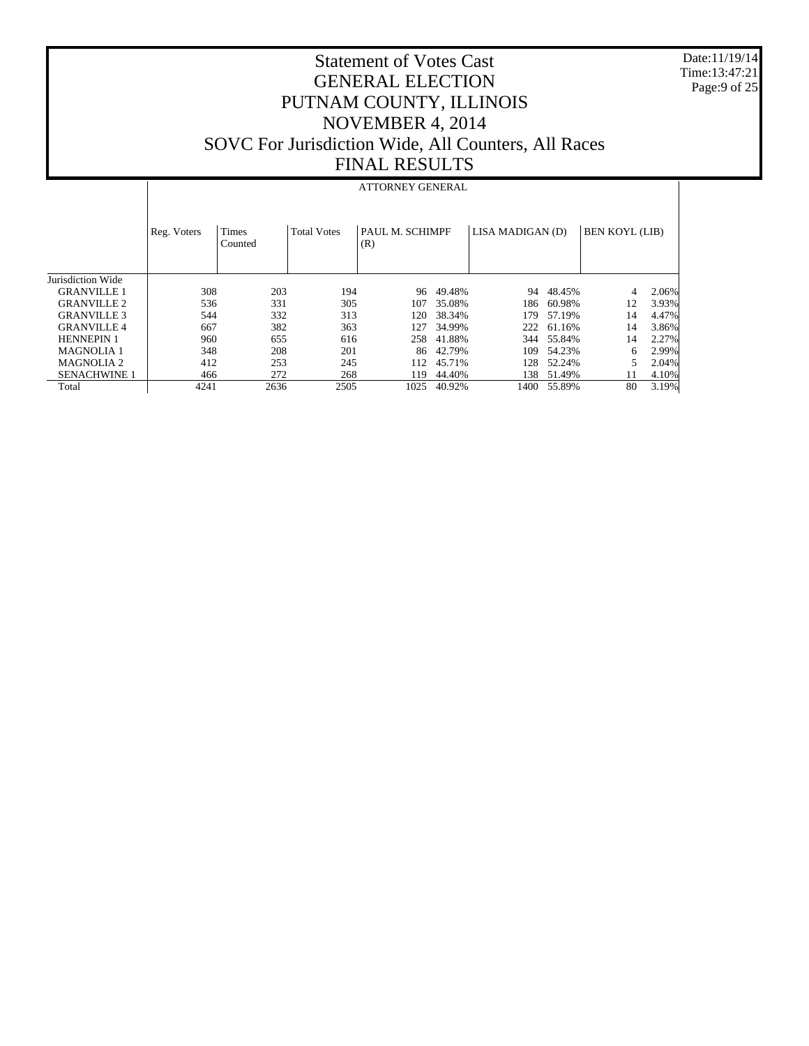Date:11/19/14 Time:13:47:21 Page:9 of 25

# Statement of Votes Cast GENERAL ELECTION PUTNAM COUNTY, ILLINOIS NOVEMBER 4, 2014 SOVC For Jurisdiction Wide, All Counters, All Races FINAL RESULTS

### ATTORNEY GENERAL

|                     | Reg. Voters | <b>Times</b><br>Counted | <b>Total Votes</b> | PAUL M. SCHIMPF<br>(R) |        | LISA MADIGAN (D) |            | <b>BEN KOYL (LIB)</b> |       |
|---------------------|-------------|-------------------------|--------------------|------------------------|--------|------------------|------------|-----------------------|-------|
| Jurisdiction Wide   |             |                         |                    |                        |        |                  |            |                       |       |
| <b>GRANVILLE 1</b>  | 308         | 203                     | 194                | 96                     | 49.48% | 94               | 48.45%     | 4                     | 2.06% |
| <b>GRANVILLE 2</b>  | 536         | 331                     | 305                | 107                    | 35.08% |                  | 186 60.98% | 12                    | 3.93% |
| <b>GRANVILLE 3</b>  | 544         | 332                     | 313                | 120                    | 38.34% | 179              | 57.19%     | 14                    | 4.47% |
| <b>GRANVILLE 4</b>  | 667         | 382                     | 363                | 127                    | 34.99% |                  | 222 61.16% | 14                    | 3.86% |
| <b>HENNEPIN 1</b>   | 960         | 655                     | 616                | 258                    | 41.88% |                  | 344 55.84% | 14                    | 2.27% |
| <b>MAGNOLIA 1</b>   | 348         | 208                     | 201                | 86                     | 42.79% | 109              | 54.23%     | 6                     | 2.99% |
| MAGNOLIA 2          | 412         | 253                     | 245                | 112                    | 45.71% | 128              | 52.24%     |                       | 2.04% |
| <b>SENACHWINE 1</b> | 466         | 272                     | 268                | 119                    | 44.40% | 138              | 51.49%     | 11                    | 4.10% |
| Total               | 4241        | 2636                    | 2505               | 1025                   | 40.92% | 1400-            | 55.89%     | 80                    | 3.19% |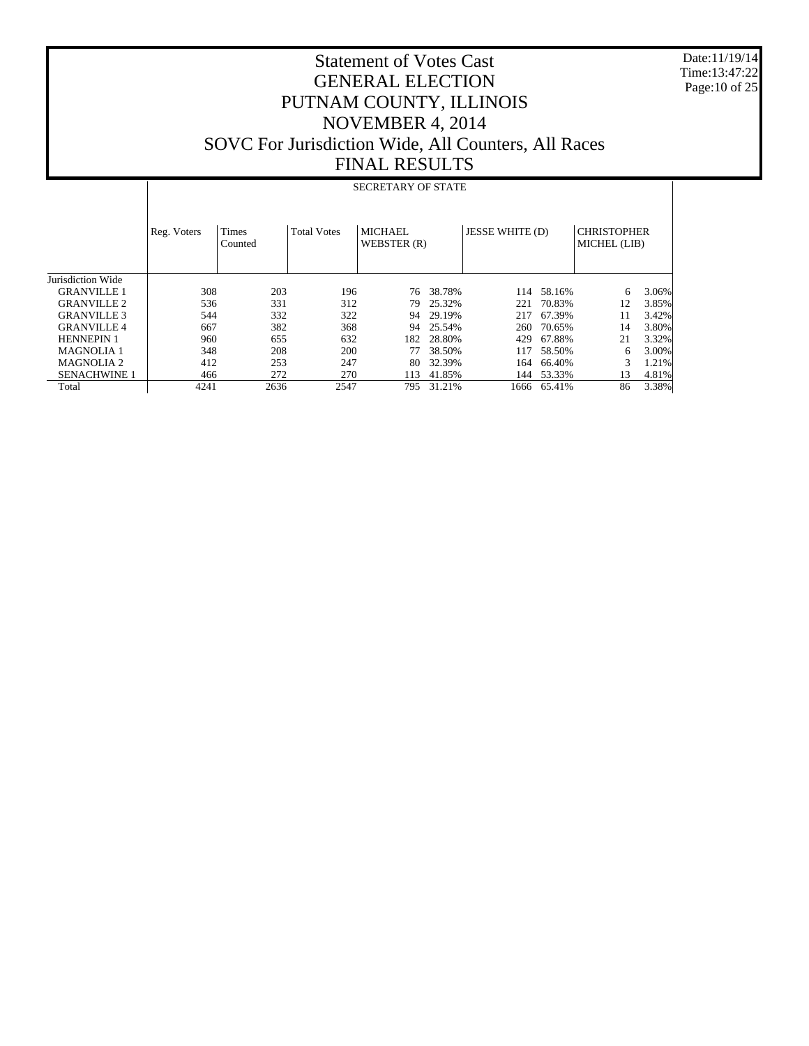Date:11/19/14 Time:13:47:22 Page:10 of 25

|                     |             | <b>SECRETARY OF STATE</b> |                    |                        |        |                        |        |                                    |       |  |  |  |
|---------------------|-------------|---------------------------|--------------------|------------------------|--------|------------------------|--------|------------------------------------|-------|--|--|--|
|                     |             |                           |                    |                        |        |                        |        |                                    |       |  |  |  |
|                     | Reg. Voters | <b>Times</b><br>Counted   | <b>Total Votes</b> | MICHAEL<br>WEBSTER (R) |        | <b>JESSE WHITE (D)</b> |        | <b>CHRISTOPHER</b><br>MICHEL (LIB) |       |  |  |  |
| Jurisdiction Wide   |             |                           |                    |                        |        |                        |        |                                    |       |  |  |  |
| <b>GRANVILLE 1</b>  | 308         | 203                       | 196                | 76                     | 38.78% | 114                    | 58.16% | 6                                  | 3.06% |  |  |  |
| <b>GRANVILLE 2</b>  | 536         | 331                       | 312                | 79                     | 25.32% | 221                    | 70.83% | 12                                 | 3.85% |  |  |  |
| <b>GRANVILLE 3</b>  | 544         | 332                       | 322                | 94                     | 29.19% | 217                    | 67.39% | 11                                 | 3.42% |  |  |  |
| <b>GRANVILLE4</b>   | 667         | 382                       | 368                | 94                     | 25.54% | 260                    | 70.65% | 14                                 | 3.80% |  |  |  |
| <b>HENNEPIN1</b>    | 960         | 655                       | 632                | 182                    | 28.80% | 429                    | 67.88% | 21                                 | 3.32% |  |  |  |
| <b>MAGNOLIA 1</b>   | 348         | 208                       | 200                | 77                     | 38.50% | 117                    | 58.50% | 6                                  | 3.00% |  |  |  |
| <b>MAGNOLIA 2</b>   | 412         | 253                       | 247                | 80                     | 32.39% | 164                    | 66.40% | 3                                  | 1.21% |  |  |  |
| <b>SENACHWINE 1</b> | 466         | 272                       | 270                | 113                    | 41.85% | 144                    | 53.33% | 13                                 | 4.81% |  |  |  |
| Total               | 4241        | 2636                      | 2547               | 795                    | 31.21% | 1666                   | 65.41% | 86                                 | 3.38% |  |  |  |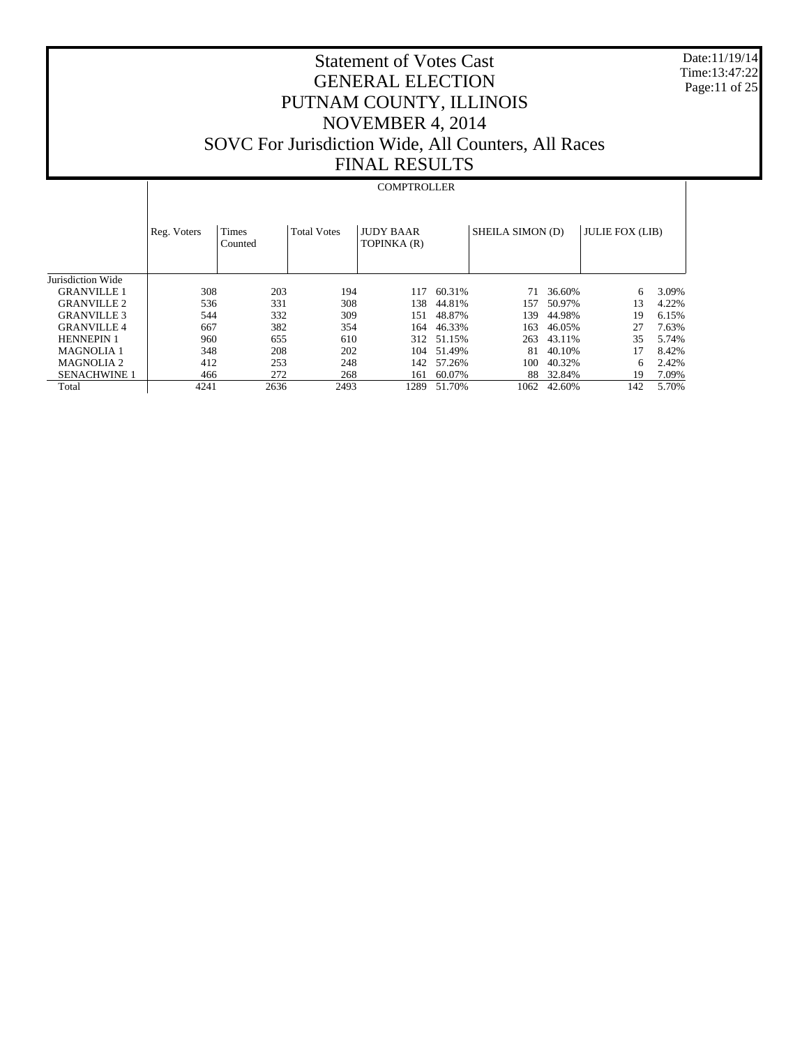Date:11/19/14 Time:13:47:22 Page:11 of 25

# Statement of Votes Cast GENERAL ELECTION PUTNAM COUNTY, ILLINOIS NOVEMBER 4, 2014 SOVC For Jurisdiction Wide, All Counters, All Races FINAL RESULTS

#### **COMPTROLLER**

|                     | Reg. Voters | Times<br>Counted | <b>Total Votes</b> | <b>JUDY BAAR</b><br>TOPINKA (R) |            | SHEILA SIMON (D) |        | <b>JULIE FOX (LIB)</b> |       |
|---------------------|-------------|------------------|--------------------|---------------------------------|------------|------------------|--------|------------------------|-------|
| Jurisdiction Wide   |             |                  |                    |                                 |            |                  |        |                        |       |
| <b>GRANVILLE 1</b>  | 308         | 203              | 194                | 117                             | 60.31%     | 71               | 36.60% | 6                      | 3.09% |
| <b>GRANVILLE 2</b>  | 536         | 331              | 308                | 138                             | 44.81%     | 157              | 50.97% | 13                     | 4.22% |
| <b>GRANVILLE 3</b>  | 544         | 332              | 309                | 151                             | 48.87%     | 139              | 44.98% | 19                     | 6.15% |
| <b>GRANVILLE4</b>   | 667         | 382              | 354                | 164                             | 46.33%     | 163              | 46.05% | 27                     | 7.63% |
| <b>HENNEPIN 1</b>   | 960         | 655              | 610                |                                 | 312 51.15% | 263              | 43.11% | 35                     | 5.74% |
| <b>MAGNOLIA 1</b>   | 348         | 208              | 202                | 104                             | 51.49%     | 81               | 40.10% | 17                     | 8.42% |
| MAGNOLIA 2          | 412         | 253              | 248                | 142                             | 57.26%     | 100              | 40.32% | 6                      | 2.42% |
| <b>SENACHWINE 1</b> | 466         | 272              | 268                | 161                             | 60.07%     | 88.              | 32.84% | 19                     | 7.09% |
| Total               | 4241        | 2636             | 2493               | 1289                            | 51.70%     | 1062             | 42.60% | 142                    | 5.70% |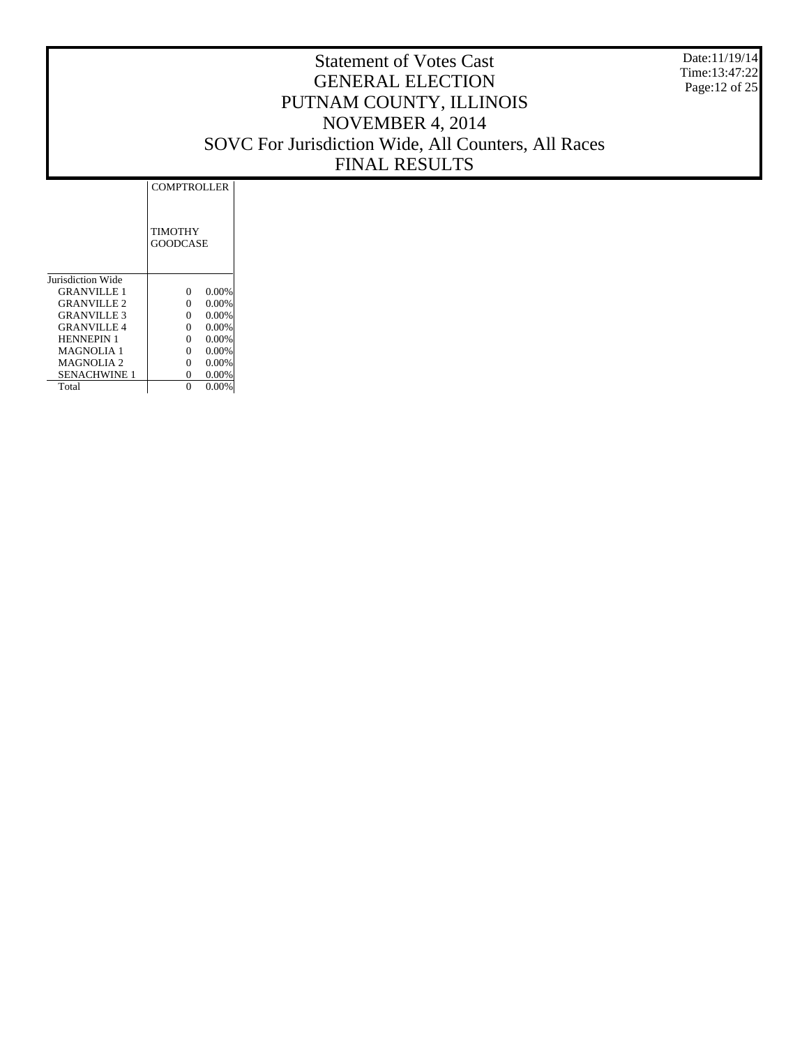Date:11/19/14 Time:13:47:22 Page:12 of 25

|                    | <b>COMPTROLLER</b>  |
|--------------------|---------------------|
|                    | TIMOTHY<br>GOODCASE |
| Jurisdiction Wide  |                     |
| <b>GRANVILLE 1</b> | 0.00%<br>0          |
| <b>GRANVILLE 2</b> | 0.00%<br>0          |
| <b>GRANVILLE 3</b> | 0.00%<br>0          |
| <b>GRANVILLE 4</b> | 0.00%<br>0          |
| <b>HENNEPIN 1</b>  | 0.00%<br>0          |
| MAGNOLIA 1         | 0.00%<br>$\Omega$   |
| MAGNOLIA 2         | 0.00%<br>0          |
| SENACHWINE 1       | 0.00%<br>0          |
| Total              | $0.00\%$            |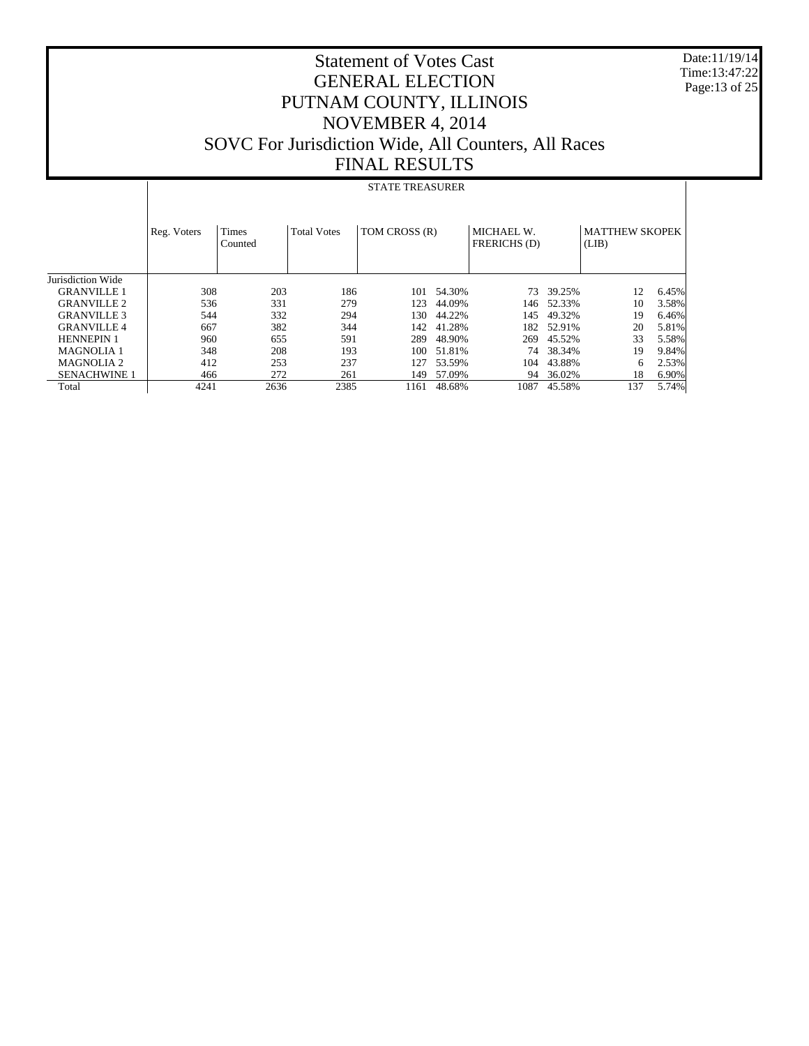Date:11/19/14 Time:13:47:22 Page:13 of 25

# Statement of Votes Cast GENERAL ELECTION PUTNAM COUNTY, ILLINOIS NOVEMBER 4, 2014 SOVC For Jurisdiction Wide, All Counters, All Races FINAL RESULTS

#### STATE TREASURER

|                     | Reg. Voters | <b>Times</b><br>Counted | <b>Total Votes</b> | TOM CROSS (R) |        | MICHAEL W.<br>FRERICHS (D) |        | <b>MATTHEW SKOPEK</b><br>(LIB) |       |
|---------------------|-------------|-------------------------|--------------------|---------------|--------|----------------------------|--------|--------------------------------|-------|
| Jurisdiction Wide   |             |                         |                    |               |        |                            |        |                                |       |
| <b>GRANVILLE 1</b>  | 308         | 203                     | 186                | 101           | 54.30% | 73                         | 39.25% | 12                             | 6.45% |
| <b>GRANVILLE 2</b>  | 536         | 331                     | 279                | 123           | 44.09% | 146                        | 52.33% | 10                             | 3.58% |
| <b>GRANVILLE 3</b>  | 544         | 332                     | 294                | 130           | 44.22% | 145                        | 49.32% | 19                             | 6.46% |
| <b>GRANVILLE4</b>   | 667         | 382                     | 344                | 142           | 41.28% | 182                        | 52.91% | 20                             | 5.81% |
| <b>HENNEPIN 1</b>   | 960         | 655                     | 591                | 289           | 48.90% | 269                        | 45.52% | 33                             | 5.58% |
| <b>MAGNOLIA 1</b>   | 348         | 208                     | 193                | 100           | 51.81% | 74                         | 38.34% | 19                             | 9.84% |
| <b>MAGNOLIA 2</b>   | 412         | 253                     | 237                | 127           | 53.59% | 104                        | 43.88% | 6                              | 2.53% |
| <b>SENACHWINE 1</b> | 466         | 272                     | 261                | 149           | 57.09% | 94                         | 36.02% | 18                             | 6.90% |
| Total               | 4241        | 2636                    | 2385               | 1161          | 48.68% | 1087                       | 45.58% | 137                            | 5.74% |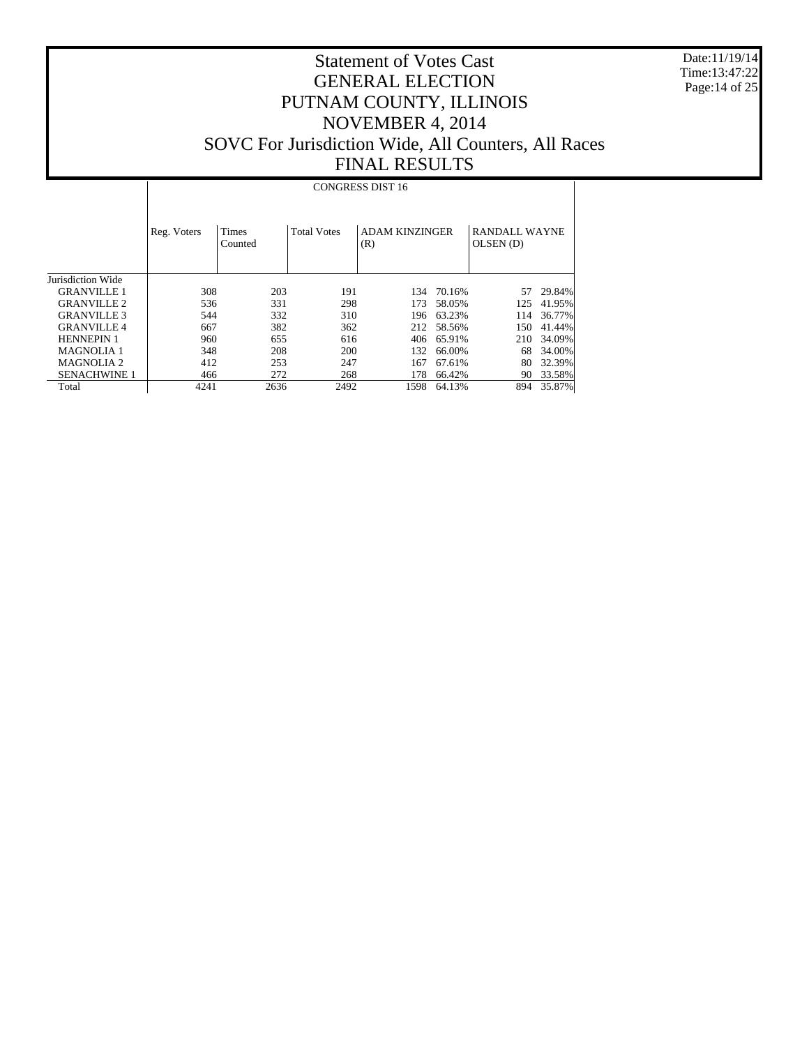Date:11/19/14 Time:13:47:22 Page:14 of 25

# Statement of Votes Cast GENERAL ELECTION PUTNAM COUNTY, ILLINOIS NOVEMBER 4, 2014 SOVC For Jurisdiction Wide, All Counters, All Races FINAL RESULTS

#### CONGRESS DIST 16

|                     | Reg. Voters | <b>Times</b><br>Counted | <b>Total Votes</b> | <b>ADAM KINZINGER</b><br>(R) |        | RANDALL WAYNE<br>OLSEN (D) |        |
|---------------------|-------------|-------------------------|--------------------|------------------------------|--------|----------------------------|--------|
| Jurisdiction Wide   |             |                         |                    |                              |        |                            |        |
| <b>GRANVILLE 1</b>  | 308         | 203                     | 191                | 134                          | 70.16% | 57                         | 29.84% |
| <b>GRANVILLE 2</b>  | 536         | 331                     | 298                | 173                          | 58.05% | 125                        | 41.95% |
| <b>GRANVILLE 3</b>  | 544         | 332                     | 310                | 196                          | 63.23% | 114                        | 36.77% |
| <b>GRANVILLE4</b>   | 667         | 382                     | 362                | 212                          | 58.56% | 150                        | 41.44% |
| <b>HENNEPIN 1</b>   | 960         | 655                     | 616                | 406                          | 65.91% | 210                        | 34.09% |
| <b>MAGNOLIA 1</b>   | 348         | 208                     | 200                | 132                          | 66.00% | 68                         | 34.00% |
| <b>MAGNOLIA 2</b>   | 412         | 253                     | 247                | 167                          | 67.61% | 80                         | 32.39% |
| <b>SENACHWINE 1</b> | 466         | 272                     | 268                | 178                          | 66.42% | 90                         | 33.58% |
| Total               | 4241        | 2636                    | 2492               | 1598                         | 64.13% | 894                        | 35.87% |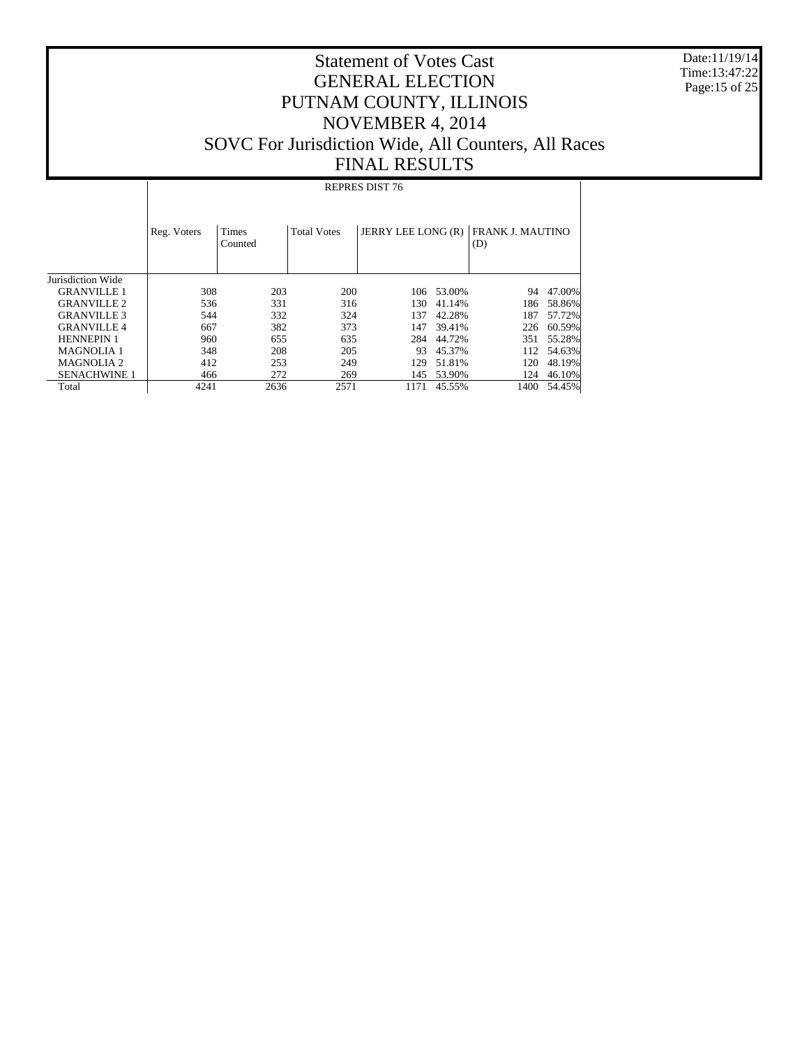Date:11/19/14 Time:13:47:22 Page:15 of 25

# Statement of Votes Cast GENERAL ELECTION PUTNAM COUNTY, ILLINOIS NOVEMBER 4, 2014 SOVC For Jurisdiction Wide, All Counters, All Races FINAL RESULTS

#### REPRES DIST 76

|                     | Reg. Voters | <b>Times</b><br>Counted | <b>Total Votes</b> | JERRY LEE LONG (R) |        | <b>FRANK J. MAUTINO</b><br>(D) |        |
|---------------------|-------------|-------------------------|--------------------|--------------------|--------|--------------------------------|--------|
| Jurisdiction Wide   |             |                         |                    |                    |        |                                |        |
| <b>GRANVILLE 1</b>  | 308         | 203                     | 200                | 106                | 53.00% | 94                             | 47.00% |
| <b>GRANVILLE 2</b>  | 536         | 331                     | 316                | 130                | 41.14% | 186                            | 58.86% |
| <b>GRANVILLE 3</b>  | 544         | 332                     | 324                | 137                | 42.28% | 187                            | 57.72% |
| <b>GRANVILLE4</b>   | 667         | 382                     | 373                | 147                | 39.41% | 226                            | 60.59% |
| <b>HENNEPIN 1</b>   | 960         | 655                     | 635                | 284                | 44.72% | 351                            | 55.28% |
| <b>MAGNOLIA 1</b>   | 348         | 208                     | 205                | 93                 | 45.37% | 112                            | 54.63% |
| <b>MAGNOLIA 2</b>   | 412         | 253                     | 249                | 129                | 51.81% | 120                            | 48.19% |
| <b>SENACHWINE 1</b> | 466         | 272                     | 269                | 145                | 53.90% | 124                            | 46.10% |
| Total               | 4241        | 2636                    | 2571               | 1171               | 45.55% | 1400                           | 54.45% |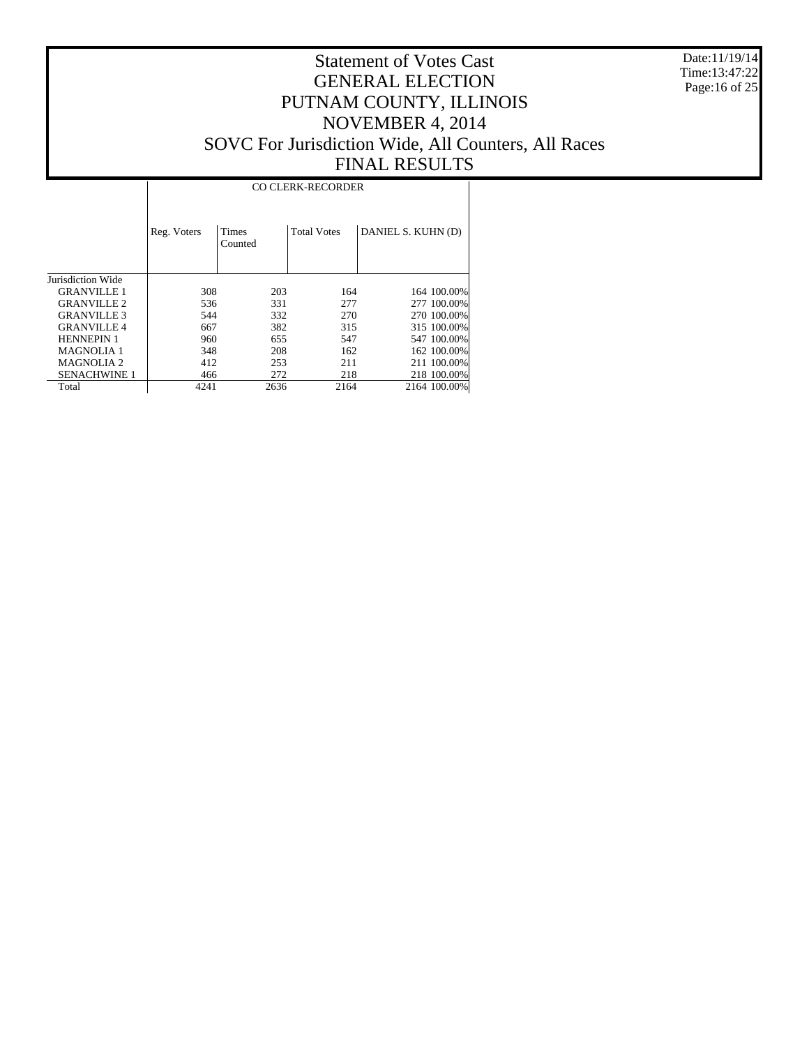Date:11/19/14 Time:13:47:22 Page:16 of 25

|                     |             | <b>CO CLERK-RECORDER</b> |                    |                    |  |  |  |  |  |  |
|---------------------|-------------|--------------------------|--------------------|--------------------|--|--|--|--|--|--|
|                     | Reg. Voters | Times<br>Counted         | <b>Total Votes</b> | DANIEL S. KUHN (D) |  |  |  |  |  |  |
| Jurisdiction Wide   |             |                          |                    |                    |  |  |  |  |  |  |
| <b>GRANVILLE 1</b>  | 308         | 203                      | 164                | 164 100.00%        |  |  |  |  |  |  |
| <b>GRANVILLE 2</b>  | 536         | 331                      | 277                | 277 100.00%        |  |  |  |  |  |  |
| <b>GRANVILLE 3</b>  | 544         | 332                      | 270                | 270 100.00%        |  |  |  |  |  |  |
| <b>GRANVILLE4</b>   | 667         | 382                      | 315                | 315 100.00%        |  |  |  |  |  |  |
| <b>HENNEPIN 1</b>   | 960         | 655                      | 547                | 547 100.00%        |  |  |  |  |  |  |
| <b>MAGNOLIA 1</b>   | 348         | 208                      | 162                | 162 100.00%        |  |  |  |  |  |  |
| <b>MAGNOLIA 2</b>   | 412         | 253                      | 211                | 211 100.00%        |  |  |  |  |  |  |
| <b>SENACHWINE 1</b> | 466         | 272                      | 218                | 218 100.00%        |  |  |  |  |  |  |
| Total               | 4241        | 2636                     | 2164               | 2164 100.00%       |  |  |  |  |  |  |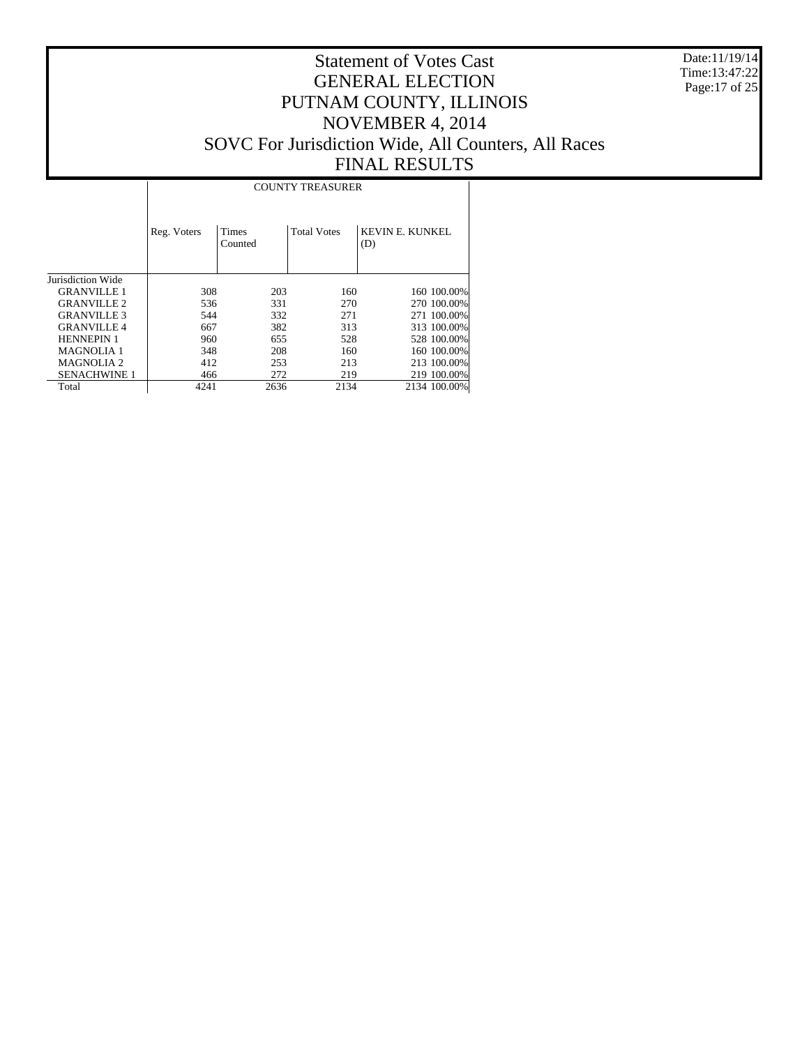Date:11/19/14 Time:13:47:22 Page:17 of 25

|                     |             | <b>COUNTY TREASURER</b> |                    |                               |  |  |  |  |  |  |
|---------------------|-------------|-------------------------|--------------------|-------------------------------|--|--|--|--|--|--|
|                     | Reg. Voters | Times<br>Counted        | <b>Total Votes</b> | <b>KEVIN E. KUNKEL</b><br>(D) |  |  |  |  |  |  |
| Jurisdiction Wide   |             |                         |                    |                               |  |  |  |  |  |  |
| <b>GRANVILLE 1</b>  | 308         | 203                     | 160                | 160 100.00%                   |  |  |  |  |  |  |
| <b>GRANVILLE 2</b>  | 536         | 331                     | 270                | 270 100,00%                   |  |  |  |  |  |  |
| <b>GRANVILLE 3</b>  | 544         | 332                     | 271                | 271 100.00%                   |  |  |  |  |  |  |
| <b>GRANVILLE4</b>   | 667         | 382                     | 313                | 313 100,00%                   |  |  |  |  |  |  |
| <b>HENNEPIN 1</b>   | 960         | 655                     | 528                | 528 100.00%                   |  |  |  |  |  |  |
| <b>MAGNOLIA1</b>    | 348         | 208                     | 160                | 160 100.00%                   |  |  |  |  |  |  |
| <b>MAGNOLIA 2</b>   | 412         | 253                     | 213                | 213 100.00%                   |  |  |  |  |  |  |
| <b>SENACHWINE 1</b> | 466         | 272                     | 219                | 219 100.00%                   |  |  |  |  |  |  |
| Total               | 4241        | 2636                    | 2134               | 2134 100.00%                  |  |  |  |  |  |  |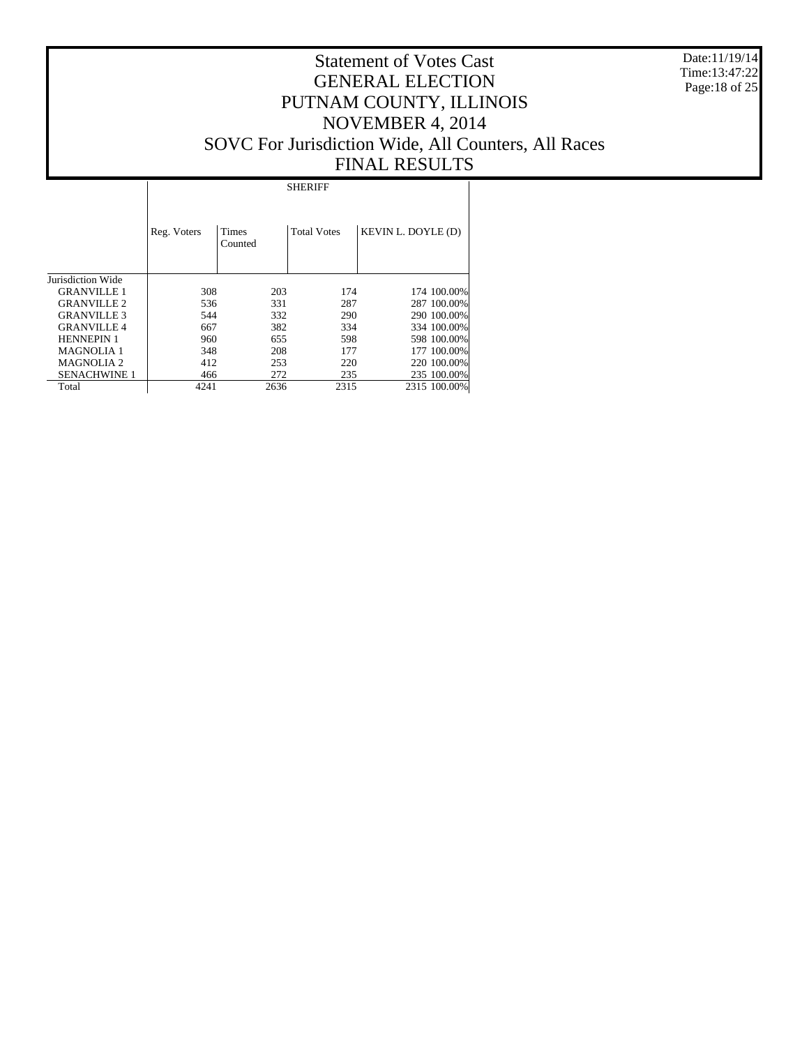Date:11/19/14 Time:13:47:22 Page:18 of 25

|                     |             |                  |      | <b>SHERIFF</b>     |                    |              |
|---------------------|-------------|------------------|------|--------------------|--------------------|--------------|
|                     | Reg. Voters | Times<br>Counted |      | <b>Total Votes</b> | KEVIN L. DOYLE (D) |              |
| Jurisdiction Wide   |             |                  |      |                    |                    |              |
| <b>GRANVILLE 1</b>  | 308         |                  | 203  | 174                |                    | 174 100,00%  |
| <b>GRANVILLE 2</b>  | 536         |                  | 331  | 287                |                    | 287 100.00%  |
| <b>GRANVILLE 3</b>  | 544         |                  | 332  | 290                |                    | 290 100.00%  |
| <b>GRANVILLE4</b>   | 667         |                  | 382  | 334                |                    | 334 100.00%  |
| <b>HENNEPIN 1</b>   | 960         |                  | 655  | 598                |                    | 598 100.00%  |
| <b>MAGNOLIA1</b>    | 348         |                  | 208  | 177                |                    | 177 100,00%  |
| <b>MAGNOLIA2</b>    | 412         |                  | 253  | 220                |                    | 220 100.00%  |
| <b>SENACHWINE 1</b> | 466         |                  | 272  | 235                |                    | 235 100.00%  |
| Total               | 4241        |                  | 2636 | 2315               |                    | 2315 100.00% |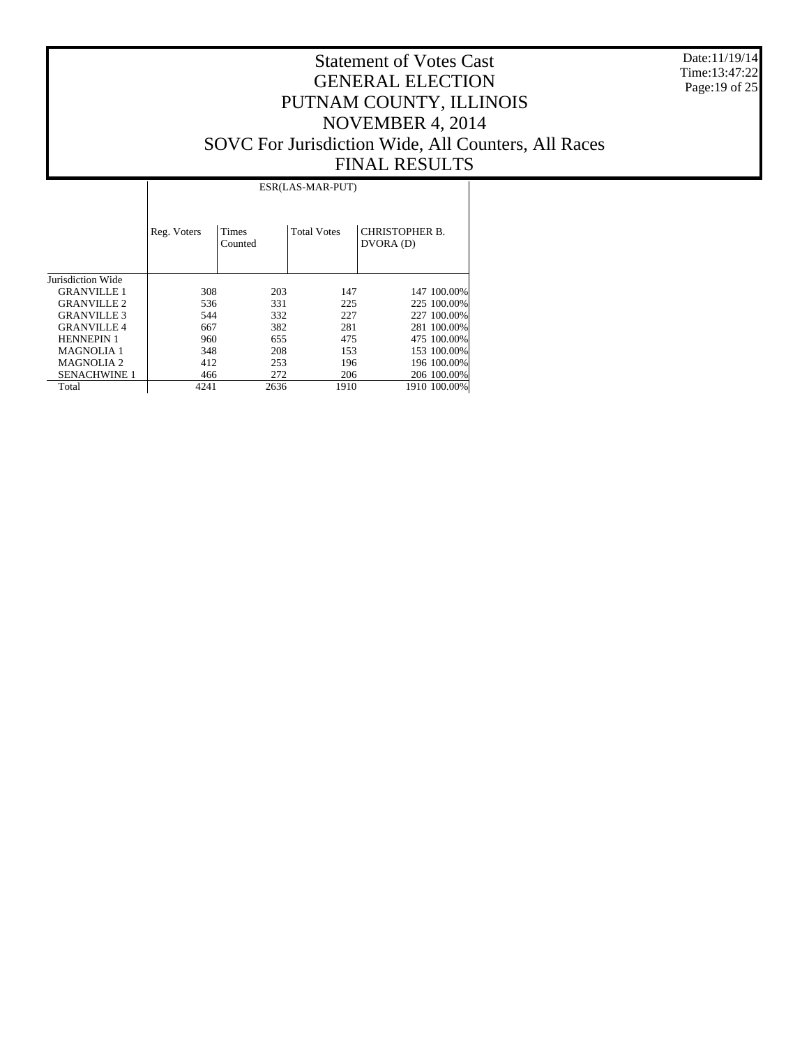Date:11/19/14 Time:13:47:22 Page:19 of 25

|                       |             | ESR(LAS-MAR-PUT)        |                    |                                    |  |  |  |  |  |  |
|-----------------------|-------------|-------------------------|--------------------|------------------------------------|--|--|--|--|--|--|
|                       | Reg. Voters | <b>Times</b><br>Counted | <b>Total Votes</b> | <b>CHRISTOPHER B.</b><br>DVORA (D) |  |  |  |  |  |  |
| Jurisdiction Wide     |             |                         |                    |                                    |  |  |  |  |  |  |
| <b>GRANVILLE 1</b>    | 308         | 203                     | 147                | 147 100,00%                        |  |  |  |  |  |  |
| <b>GRANVILLE 2</b>    | 536         | 331                     | 225                | 225 100.00%                        |  |  |  |  |  |  |
| <b>GRANVILLE 3</b>    | 544         | 332                     | 227                | 227 100.00%                        |  |  |  |  |  |  |
| <b>GRANVILLE4</b>     | 667         | 382                     | 281                | 281 100.00%                        |  |  |  |  |  |  |
| <b>HENNEPIN 1</b>     | 960         | 655                     | 475                | 475 100,00%                        |  |  |  |  |  |  |
| <b>MAGNOLIA 1</b>     | 348         | 208                     | 153                | 153 100,00%                        |  |  |  |  |  |  |
| MAGNOLIA <sub>2</sub> | 412         | 253                     | 196                | 196 100.00%                        |  |  |  |  |  |  |
| <b>SENACHWINE 1</b>   | 466         | 272                     | 206                | 206 100.00%                        |  |  |  |  |  |  |
| Total                 | 4241        | 2636                    | 1910               | 1910 100.00%                       |  |  |  |  |  |  |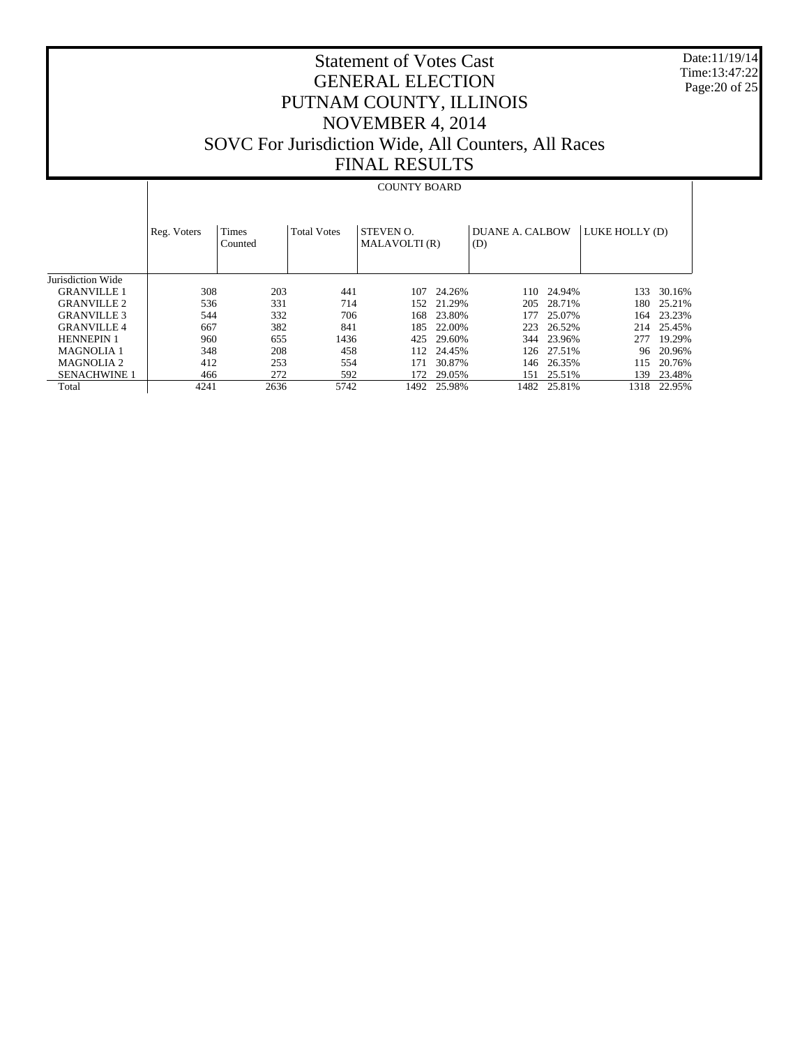Date:11/19/14 Time:13:47:22 Page:20 of 25

# Statement of Votes Cast GENERAL ELECTION PUTNAM COUNTY, ILLINOIS NOVEMBER 4, 2014 SOVC For Jurisdiction Wide, All Counters, All Races FINAL RESULTS

### COUNTY BOARD

|                     | Reg. Voters | Times<br>Counted | <b>Total Votes</b> | STEVEN O.<br>MALAVOLTI (R) |            | <b>DUANE A. CALBOW</b><br>(D) |            | LUKE HOLLY (D) |        |
|---------------------|-------------|------------------|--------------------|----------------------------|------------|-------------------------------|------------|----------------|--------|
| Jurisdiction Wide   |             |                  |                    |                            |            |                               |            |                |        |
| <b>GRANVILLE 1</b>  | 308         | 203              | 441                | 107                        | 24.26%     |                               | 110 24.94% | 133            | 30.16% |
| <b>GRANVILLE 2</b>  | 536         | 331              | 714                | 152.                       | 21.29%     | 205                           | 28.71%     | 180            | 25.21% |
| <b>GRANVILLE 3</b>  | 544         | 332              | 706                | 168.                       | 23.80%     | 177                           | 25.07%     | 164            | 23.23% |
| <b>GRANVILLE4</b>   | 667         | 382              | 841                | 185.                       | 22.00%     | 223                           | 26.52%     | 214            | 25.45% |
| <b>HENNEPIN 1</b>   | 960         | 655              | 1436               | 425                        | 29.60%     | 344                           | 23.96%     | 277            | 19.29% |
| <b>MAGNOLIA 1</b>   | 348         | 208              | 458                |                            | 112 24.45% |                               | 126 27.51% | 96             | 20.96% |
| MAGNOLIA 2          | 412         | 253              | 554                | 171                        | 30.87%     | 146                           | 26.35%     | 115            | 20.76% |
| <b>SENACHWINE 1</b> | 466         | 272              | 592                | 172.                       | 29.05%     | 151                           | 25.51%     | 139            | 23.48% |
| Total               | 4241        | 2636             | 5742               | 1492                       | 25.98%     | 1482                          | 25.81%     | 1318           | 22.95% |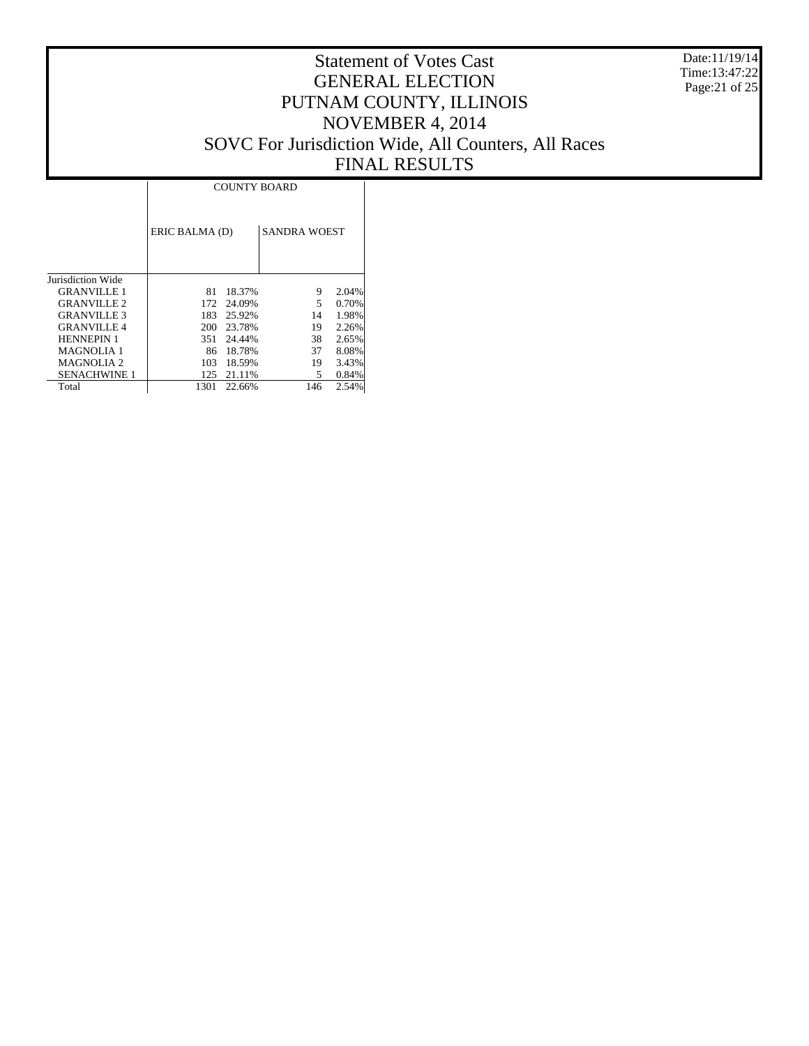Date:11/19/14 Time:13:47:22 Page:21 of 25

|                       | <b>COUNTY BOARD</b> |        |                     |       |  |  |  |  |  |
|-----------------------|---------------------|--------|---------------------|-------|--|--|--|--|--|
|                       | ERIC BALMA (D)      |        | <b>SANDRA WOEST</b> |       |  |  |  |  |  |
| Jurisdiction Wide     |                     |        |                     |       |  |  |  |  |  |
| <b>GRANVILLE 1</b>    | 81                  | 18.37% | 9                   | 2.04% |  |  |  |  |  |
| <b>GRANVILLE 2</b>    | 172                 | 24.09% | 5                   | 0.70% |  |  |  |  |  |
| <b>GRANVILLE 3</b>    | 183                 | 25.92% | 14                  | 1.98% |  |  |  |  |  |
| <b>GRANVILLE4</b>     | 200                 | 23.78% | 19                  | 2.26% |  |  |  |  |  |
| <b>HENNEPIN 1</b>     | 351                 | 24.44% | 38                  | 2.65% |  |  |  |  |  |
| <b>MAGNOLIA 1</b>     | 86                  | 18.78% | 37                  | 8.08% |  |  |  |  |  |
| MAGNOLIA <sub>2</sub> | 103                 | 18.59% | 19                  | 3.43% |  |  |  |  |  |
| <b>SENACHWINE 1</b>   | 125                 | 21.11% | 5                   | 0.84% |  |  |  |  |  |
| Total                 | 1301                | 22.66% | 146                 | 2.54% |  |  |  |  |  |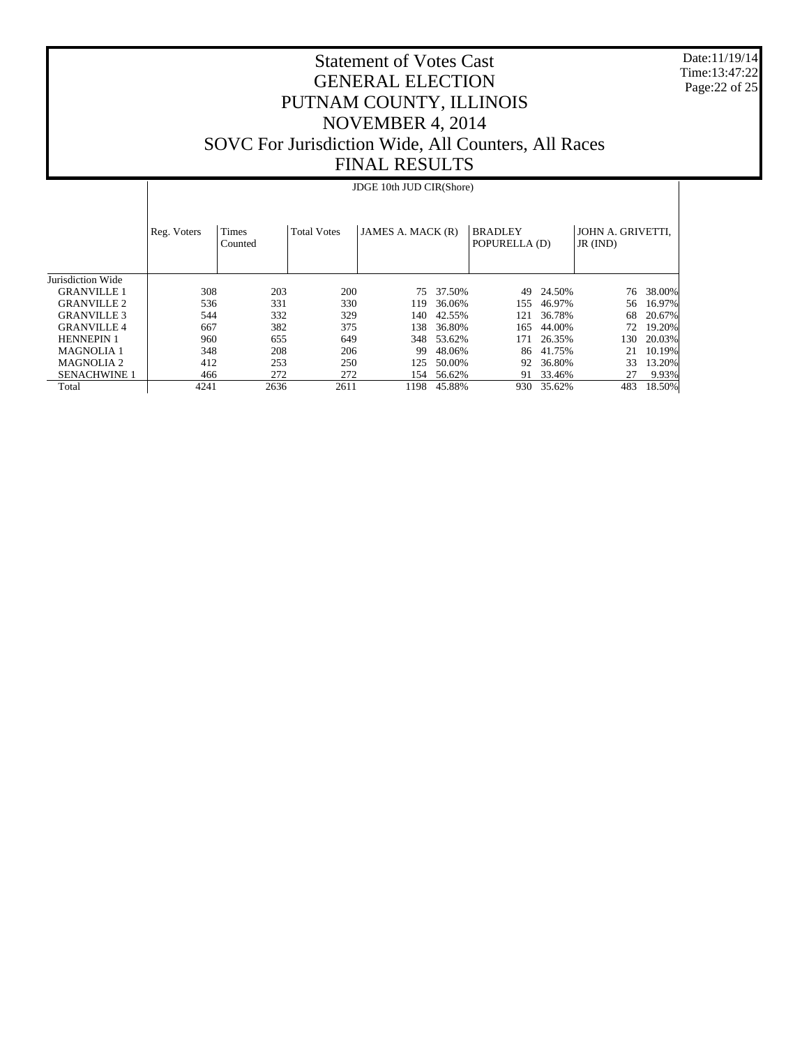Date:11/19/14 Time:13:47:22 Page:22 of 25

|                     |             | JDGE 10th JUD CIR(Shore) |                    |                   |           |                                 |        |                                     |        |  |  |
|---------------------|-------------|--------------------------|--------------------|-------------------|-----------|---------------------------------|--------|-------------------------------------|--------|--|--|
|                     | Reg. Voters | Times<br>Counted         | <b>Total Votes</b> | JAMES A. MACK (R) |           | <b>BRADLEY</b><br>POPURELLA (D) |        | JOHN A. GRIVETTI.<br>$JR$ ( $IND$ ) |        |  |  |
| Jurisdiction Wide   |             |                          |                    |                   |           |                                 |        |                                     |        |  |  |
| <b>GRANVILLE 1</b>  | 308         | 203                      | 200                |                   | 75 37.50% | 49                              | 24.50% | 76                                  | 38.00% |  |  |
| <b>GRANVILLE 2</b>  | 536         | 331                      | 330                | 119               | 36.06%    | 155                             | 46.97% | 56                                  | 16.97% |  |  |
| <b>GRANVILLE 3</b>  | 544         | 332                      | 329                | 140               | 42.55%    | 121                             | 36.78% | 68                                  | 20.67% |  |  |
| <b>GRANVILLE4</b>   | 667         | 382                      | 375                | 138               | 36.80%    | 165                             | 44.00% | 72                                  | 19.20% |  |  |
| <b>HENNEPIN1</b>    | 960         | 655                      | 649                | 348               | 53.62%    | 171                             | 26.35% | 130                                 | 20.03% |  |  |
| <b>MAGNOLIA 1</b>   | 348         | 208                      | 206                | 99                | 48.06%    | 86                              | 41.75% | 21                                  | 10.19% |  |  |
| <b>MAGNOLIA 2</b>   | 412         | 253                      | 250                | 125               | 50.00%    | 92                              | 36.80% | 33                                  | 13.20% |  |  |
| <b>SENACHWINE 1</b> | 466         | 272                      | 272                | 154               | 56.62%    | 91                              | 33.46% | 27                                  | 9.93%  |  |  |
| Total               | 4241        | 2636                     | 2611               | 1198              | 45.88%    | 930                             | 35.62% | 483                                 | 18.50% |  |  |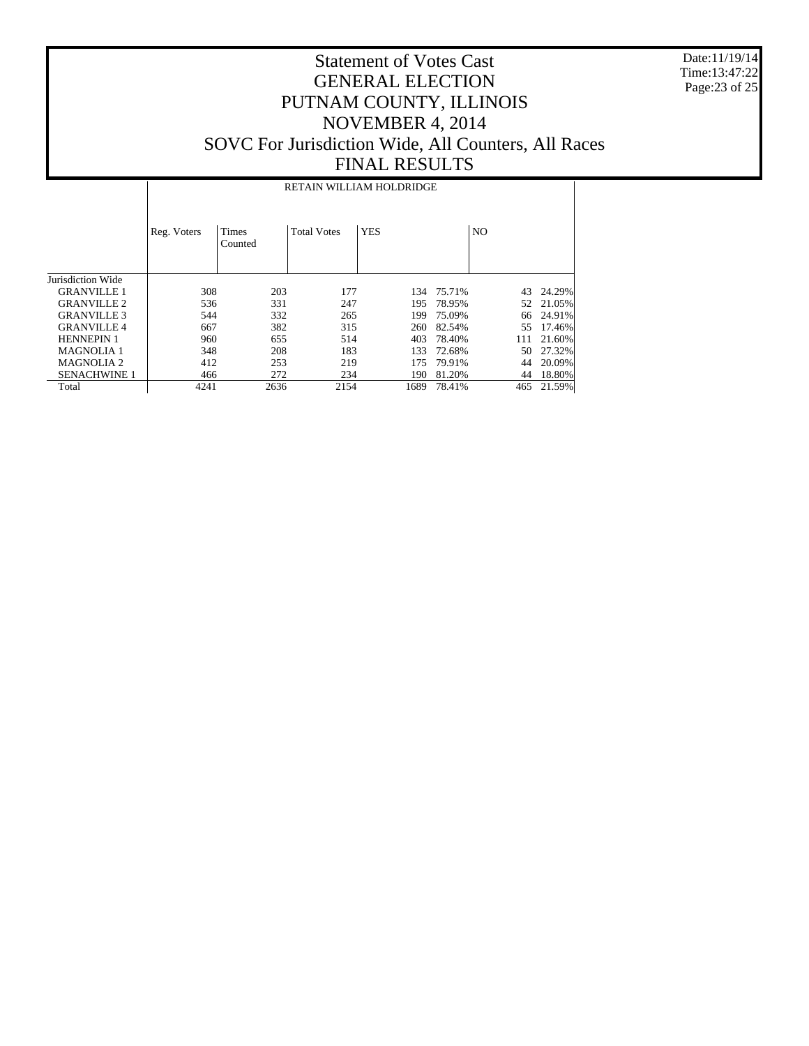Date:11/19/14 Time:13:47:22 Page:23 of 25

|                     |             | RETAIN WILLIAM HOLDRIDGE |                    |            |            |                |        |  |  |
|---------------------|-------------|--------------------------|--------------------|------------|------------|----------------|--------|--|--|
|                     | Reg. Voters | Times<br>Counted         | <b>Total Votes</b> | <b>YES</b> |            | N <sub>O</sub> |        |  |  |
| Jurisdiction Wide   |             |                          |                    |            |            |                |        |  |  |
| <b>GRANVILLE 1</b>  | 308         | 203                      | 177                |            | 134 75.71% | 43             | 24.29% |  |  |
| <b>GRANVILLE 2</b>  | 536         | 331                      | 247                | 195        | 78.95%     | 52             | 21.05% |  |  |
| <b>GRANVILLE 3</b>  | 544         | 332                      | 265                | 199        | 75.09%     | 66             | 24.91% |  |  |
| <b>GRANVILLE4</b>   | 667         | 382                      | 315                | 260        | 82.54%     | 55             | 17.46% |  |  |
| <b>HENNEPIN1</b>    | 960         | 655                      | 514                | 403        | 78.40%     | 111            | 21.60% |  |  |
| <b>MAGNOLIA1</b>    | 348         | 208                      | 183                | 133        | 72.68%     | 50             | 27.32% |  |  |
| <b>MAGNOLIA 2</b>   | 412         | 253                      | 219                | 175        | 79.91%     | 44             | 20.09% |  |  |
| <b>SENACHWINE 1</b> | 466         | 272                      | 234                | 190        | 81.20%     | 44             | 18.80% |  |  |
| Total               | 4241        | 2636                     | 2154               | 1689       | 78.41%     | 465            | 21.59% |  |  |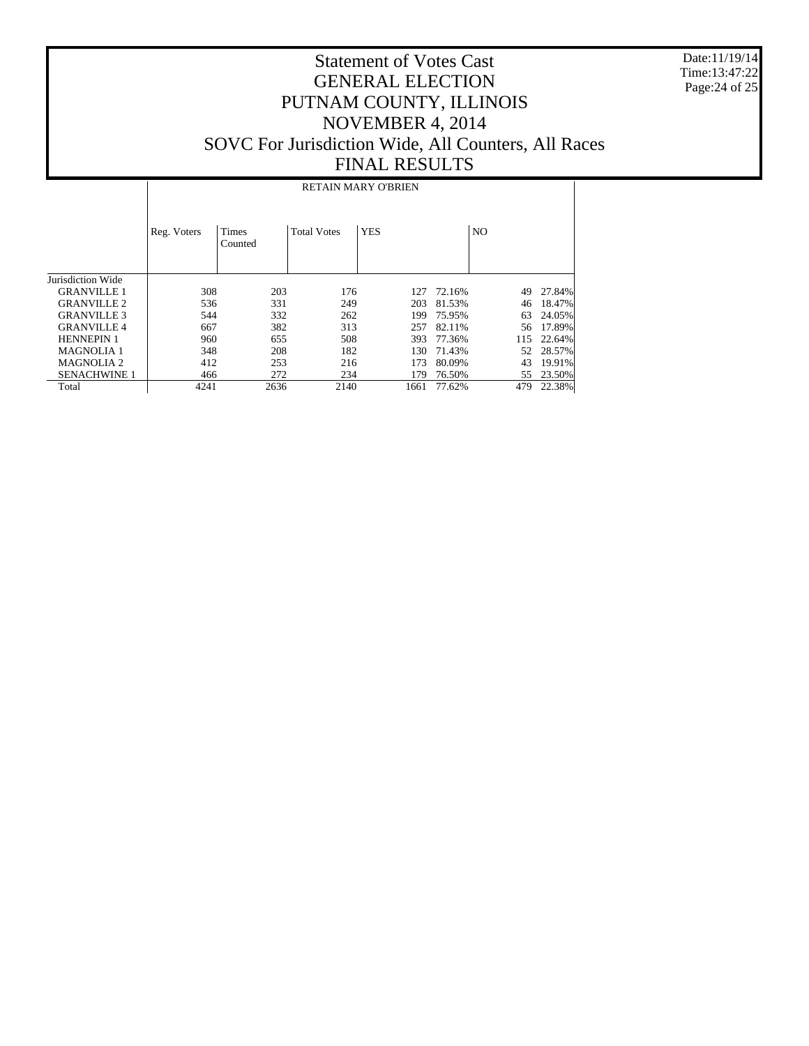Date:11/19/14 Time:13:47:22 Page:24 of 25

|                     |             | <b>RETAIN MARY O'BRIEN</b> |                    |            |        |                |        |  |  |  |  |
|---------------------|-------------|----------------------------|--------------------|------------|--------|----------------|--------|--|--|--|--|
|                     | Reg. Voters | Times<br>Counted           | <b>Total Votes</b> | <b>YES</b> |        | N <sub>O</sub> |        |  |  |  |  |
| Jurisdiction Wide   |             |                            |                    |            |        |                |        |  |  |  |  |
| <b>GRANVILLE 1</b>  | 308         | 203                        | 176                | 127        | 72.16% | 49             | 27.84% |  |  |  |  |
| <b>GRANVILLE 2</b>  | 536         | 331                        | 249                | 203        | 81.53% | 46             | 18.47% |  |  |  |  |
| <b>GRANVILLE 3</b>  | 544         | 332                        | 262                | 199        | 75.95% | 63             | 24.05% |  |  |  |  |
| <b>GRANVILLE 4</b>  | 667         | 382                        | 313                | 257        | 82.11% | 56             | 17.89% |  |  |  |  |
| <b>HENNEPIN 1</b>   | 960         | 655                        | 508                | 393        | 77.36% | 115            | 22.64% |  |  |  |  |
| <b>MAGNOLIA 1</b>   | 348         | 208                        | 182                | 130        | 71.43% | 52             | 28.57% |  |  |  |  |
| <b>MAGNOLIA 2</b>   | 412         | 253                        | 216                | 173        | 80.09% | 43             | 19.91% |  |  |  |  |
| <b>SENACHWINE 1</b> | 466         | 272                        | 234                | 179        | 76.50% | 55             | 23.50% |  |  |  |  |
| Total               | 4241        | 2636                       | 2140               | 1661       | 77.62% | 479            | 22.38% |  |  |  |  |